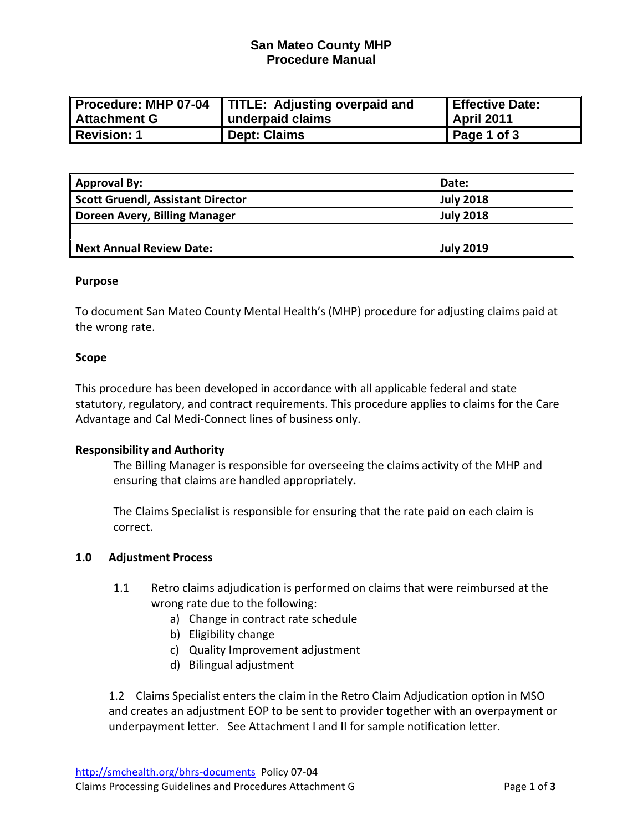## **San Mateo County MHP Procedure Manual**

|                | Procedure: MHP 07-04   TITLE: Adjusting overpaid and | <b>Effective Date:</b> |
|----------------|------------------------------------------------------|------------------------|
| ∥ Attachment G | underpaid claims                                     | April 2011             |
| Revision: 1    | <b>Dept: Claims</b>                                  | Page 1 of 3            |

| <b>Approval By:</b>                      | Date:            |
|------------------------------------------|------------------|
| <b>Scott Gruendl, Assistant Director</b> | <b>July 2018</b> |
| Doreen Avery, Billing Manager            | <b>July 2018</b> |
|                                          |                  |
| <b>Next Annual Review Date:</b>          | <b>July 2019</b> |

#### **Purpose**

To document San Mateo County Mental Health's (MHP) procedure for adjusting claims paid at the wrong rate.

#### **Scope**

This procedure has been developed in accordance with all applicable federal and state statutory, regulatory, and contract requirements. This procedure applies to claims for the Care Advantage and Cal Medi‐Connect lines of business only.

#### **Responsibility and Authority**

The Billing Manager is responsible for overseeing the claims activity of the MHP and ensuring that claims are handled appropriately**.** 

The Claims Specialist is responsible for ensuring that the rate paid on each claim is correct.

#### **1.0 Adjustment Process**

- 1.1 Retro claims adjudication is performed on claims that were reimbursed at the wrong rate due to the following:
	- a) Change in contract rate schedule
	- b) Eligibility change
	- c) Quality Improvement adjustment
	- d) Bilingual adjustment

1.2 Claims Specialist enters the claim in the Retro Claim Adjudication option in MSO and creates an adjustment EOP to be sent to provider together with an overpayment or underpayment letter. See Attachment I and II for sample notification letter.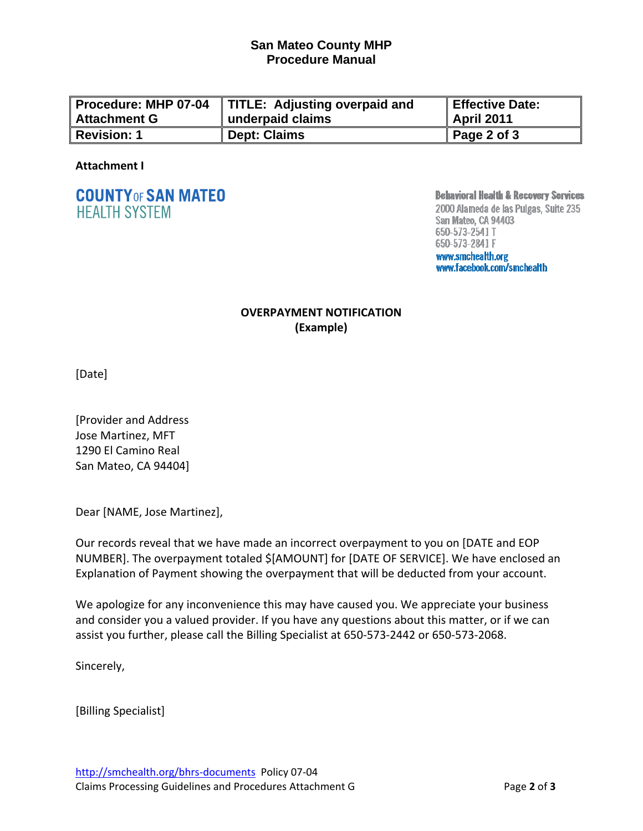### **San Mateo County MHP Procedure Manual**

| Procedure: MHP 07-04 | TITLE: Adjusting overpaid and | Effective Date: |
|----------------------|-------------------------------|-----------------|
| <b>Attachment G</b>  | underpaid claims              | April 2011      |
| <b>Revision: 1</b>   | <b>Dept: Claims</b>           | Page 2 of 3     |

#### **Attachment I**

# **COUNTY OF SAN MATEO HEALTH SYSTEM**

**Behavioral Health & Recovery Services** 

2000 Alameda de las Pulgas, Suite 235 San Mateo, CA 94403 650-573-2541 T 650-573-2841 F www.smchealth.org www.facebook.com/smchealth

# **OVERPAYMENT NOTIFICATION (Example)**

[Date]

[Provider and Address Jose Martinez, MFT 1290 El Camino Real San Mateo, CA 94404]

Dear [NAME, Jose Martinez],

Our records reveal that we have made an incorrect overpayment to you on [DATE and EOP NUMBER]. The overpayment totaled \$[AMOUNT] for [DATE OF SERVICE]. We have enclosed an Explanation of Payment showing the overpayment that will be deducted from your account.

We apologize for any inconvenience this may have caused you. We appreciate your business and consider you a valued provider. If you have any questions about this matter, or if we can assist you further, please call the Billing Specialist at 650‐573‐2442 or 650‐573‐2068.

Sincerely,

[Billing Specialist]